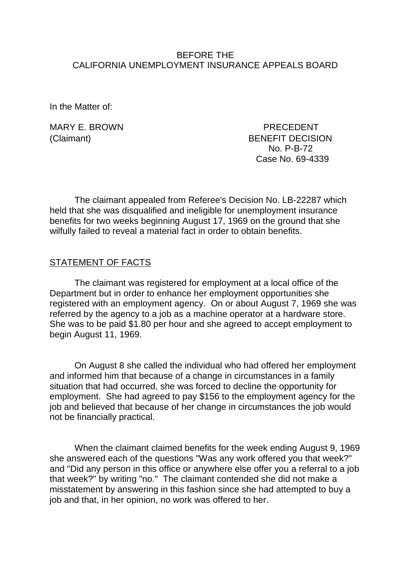### BEFORE THE CALIFORNIA UNEMPLOYMENT INSURANCE APPEALS BOARD

In the Matter of:

MARY E. BROWN PRECEDENT (Claimant) BENEFIT DECISION No. P-B-72 Case No. 69-4339

The claimant appealed from Referee's Decision No. LB-22287 which held that she was disqualified and ineligible for unemployment insurance benefits for two weeks beginning August 17, 1969 on the ground that she wilfully failed to reveal a material fact in order to obtain benefits.

#### STATEMENT OF FACTS

The claimant was registered for employment at a local office of the Department but in order to enhance her employment opportunities she registered with an employment agency. On or about August 7, 1969 she was referred by the agency to a job as a machine operator at a hardware store. She was to be paid \$1.80 per hour and she agreed to accept employment to begin August 11, 1969.

On August 8 she called the individual who had offered her employment and informed him that because of a change in circumstances in a family situation that had occurred, she was forced to decline the opportunity for employment. She had agreed to pay \$156 to the employment agency for the job and believed that because of her change in circumstances the job would not be financially practical.

When the claimant claimed benefits for the week ending August 9, 1969 she answered each of the questions "Was any work offered you that week?" and "Did any person in this office or anywhere else offer you a referral to a job that week?" by writing "no." The claimant contended she did not make a misstatement by answering in this fashion since she had attempted to buy a job and that, in her opinion, no work was offered to her.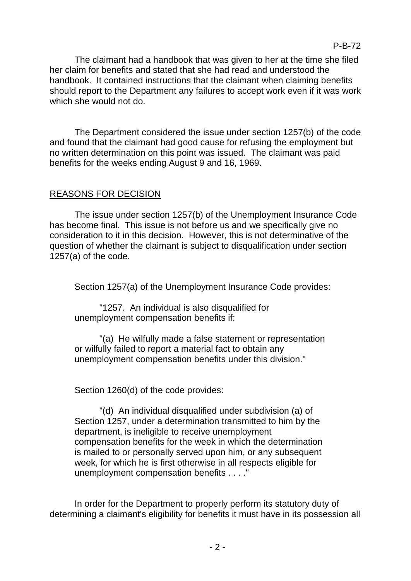The claimant had a handbook that was given to her at the time she filed her claim for benefits and stated that she had read and understood the handbook. It contained instructions that the claimant when claiming benefits should report to the Department any failures to accept work even if it was work which she would not do.

The Department considered the issue under section 1257(b) of the code and found that the claimant had good cause for refusing the employment but no written determination on this point was issued. The claimant was paid benefits for the weeks ending August 9 and 16, 1969.

# REASONS FOR DECISION

The issue under section 1257(b) of the Unemployment Insurance Code has become final. This issue is not before us and we specifically give no consideration to it in this decision. However, this is not determinative of the question of whether the claimant is subject to disqualification under section 1257(a) of the code.

Section 1257(a) of the Unemployment Insurance Code provides:

"1257. An individual is also disqualified for unemployment compensation benefits if:

"(a) He wilfully made a false statement or representation or wilfully failed to report a material fact to obtain any unemployment compensation benefits under this division."

Section 1260(d) of the code provides:

"(d) An individual disqualified under subdivision (a) of Section 1257, under a determination transmitted to him by the department, is ineligible to receive unemployment compensation benefits for the week in which the determination is mailed to or personally served upon him, or any subsequent week, for which he is first otherwise in all respects eligible for unemployment compensation benefits . . . ."

In order for the Department to properly perform its statutory duty of determining a claimant's eligibility for benefits it must have in its possession all

P-B-72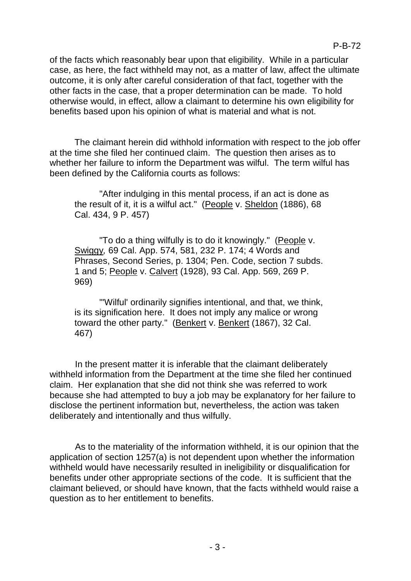of the facts which reasonably bear upon that eligibility. While in a particular case, as here, the fact withheld may not, as a matter of law, affect the ultimate outcome, it is only after careful consideration of that fact, together with the other facts in the case, that a proper determination can be made. To hold otherwise would, in effect, allow a claimant to determine his own eligibility for benefits based upon his opinion of what is material and what is not.

The claimant herein did withhold information with respect to the job offer at the time she filed her continued claim. The question then arises as to whether her failure to inform the Department was wilful. The term wilful has been defined by the California courts as follows:

"After indulging in this mental process, if an act is done as the result of it, it is a wilful act." (People v. Sheldon (1886), 68 Cal. 434, 9 P. 457)

"To do a thing wilfully is to do it knowingly." (People v. Swiggy*,* 69 Cal. App. 574, 581, 232 P. 174; 4 Words and Phrases, Second Series, p. 1304; Pen. Code, section 7 subds. 1 and 5; People v. Calvert (1928), 93 Cal. App. 569, 269 P. 969)

"'Wilful' ordinarily signifies intentional, and that, we think, is its signification here. It does not imply any malice or wrong toward the other party." (Benkert v. Benkert (1867), 32 Cal. 467)

In the present matter it is inferable that the claimant deliberately withheld information from the Department at the time she filed her continued claim. Her explanation that she did not think she was referred to work because she had attempted to buy a job may be explanatory for her failure to disclose the pertinent information but, nevertheless, the action was taken deliberately and intentionally and thus wilfully.

As to the materiality of the information withheld, it is our opinion that the application of section 1257(a) is not dependent upon whether the information withheld would have necessarily resulted in ineligibility or disqualification for benefits under other appropriate sections of the code. It is sufficient that the claimant believed, or should have known, that the facts withheld would raise a question as to her entitlement to benefits.